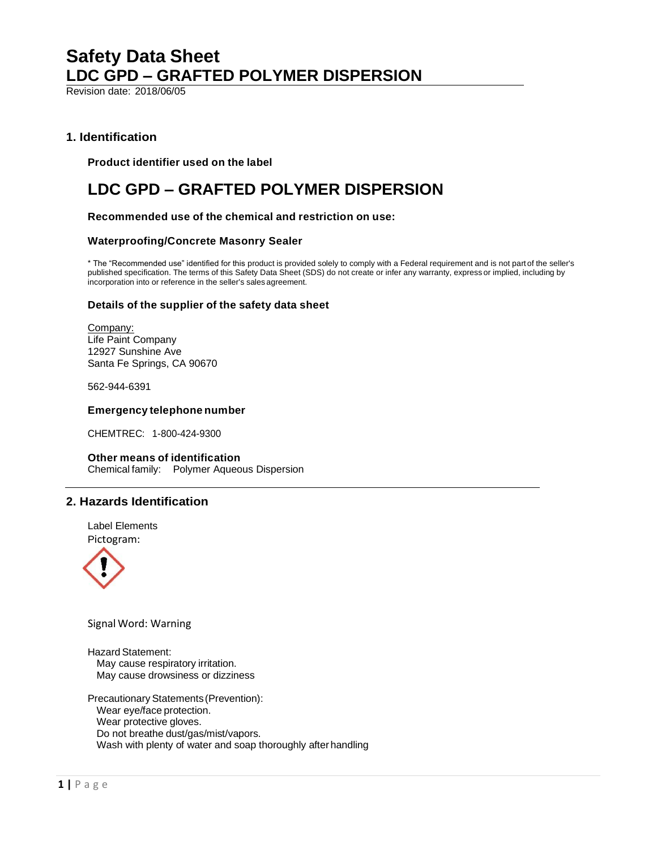Revision date: 2018/06/05

# **1. Identification**

**Product identifier used on the label**

# **LDC GPD – GRAFTED POLYMER DISPERSION**

**Recommended use of the chemical and restriction on use:**

#### **Waterproofing/Concrete Masonry Sealer**

\* The "Recommended use" identified for this product is provided solely to comply with a Federal requirement and is not partof the seller's published specification. The terms of this Safety Data Sheet (SDS) do not create or infer any warranty, express or implied, including by incorporation into or reference in the seller's sales agreement.

#### **Details of the supplier of the safety data sheet**

Company: Life Paint Company 12927 Sunshine Ave Santa Fe Springs, CA 90670

562-944-6391

#### **Emergencytelephone number**

CHEMTREC: 1-800-424-9300

#### **Other means of identification**

Chemical family: Polymer Aqueous Dispersion

# **2. Hazards Identification**





Signal Word: Warning

Hazard Statement: May cause respiratory irritation. May cause drowsiness or dizziness

Precautionary Statements (Prevention): Wear eye/face protection. Wear protective gloves. Do not breathe dust/gas/mist/vapors. Wash with plenty of water and soap thoroughly after handling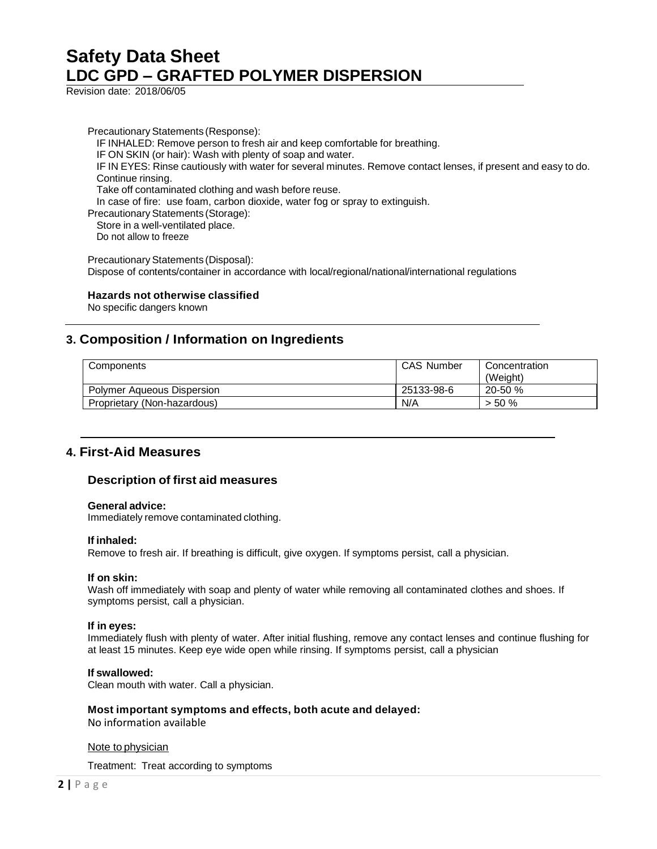Revision date: 2018/06/05

Precautionary Statements (Response): IF INHALED: Remove person to fresh air and keep comfortable for breathing. IF ON SKIN (or hair): Wash with plenty of soap and water. IF IN EYES: Rinse cautiously with water for several minutes. Remove contact lenses, if present and easy to do. Continue rinsing. Take off contaminated clothing and wash before reuse. In case of fire: use foam, carbon dioxide, water fog or spray to extinguish. Precautionary Statements (Storage): Store in a well-ventilated place. Do not allow to freeze Precautionary Statements (Disposal): Dispose of contents/container in accordance with local/regional/national/international regulations

#### **Hazards not otherwise classified**

No specific dangers known

# **3. Composition / Information on Ingredients**

| Components                        | <b>CAS Number</b> | Concentration<br>(Weight) |
|-----------------------------------|-------------------|---------------------------|
| <b>Polymer Aqueous Dispersion</b> | 25133-98-6        | 20-50 %                   |
| Proprietary (Non-hazardous)       | N/A               | $> 50 \%$                 |

# **4. First-Aid Measures**

#### **Description of first aid measures**

#### **Generaladvice:**

Immediately remove contaminated clothing.

#### **If inhaled:**

Remove to fresh air. If breathing is difficult, give oxygen. If symptoms persist, call a physician.

#### **If on skin:**

Wash off immediately with soap and plenty of water while removing all contaminated clothes and shoes. If symptoms persist, call a physician.

#### **If in eyes:**

Immediately flush with plenty of water. After initial flushing, remove any contact lenses and continue flushing for at least 15 minutes. Keep eye wide open while rinsing. If symptoms persist, call a physician

#### **Ifswallowed:**

Clean mouth with water. Call a physician.

#### **Most important symptoms and effects, both acute and delayed:**

No information available

#### Note tophysician

Treatment: Treat according to symptoms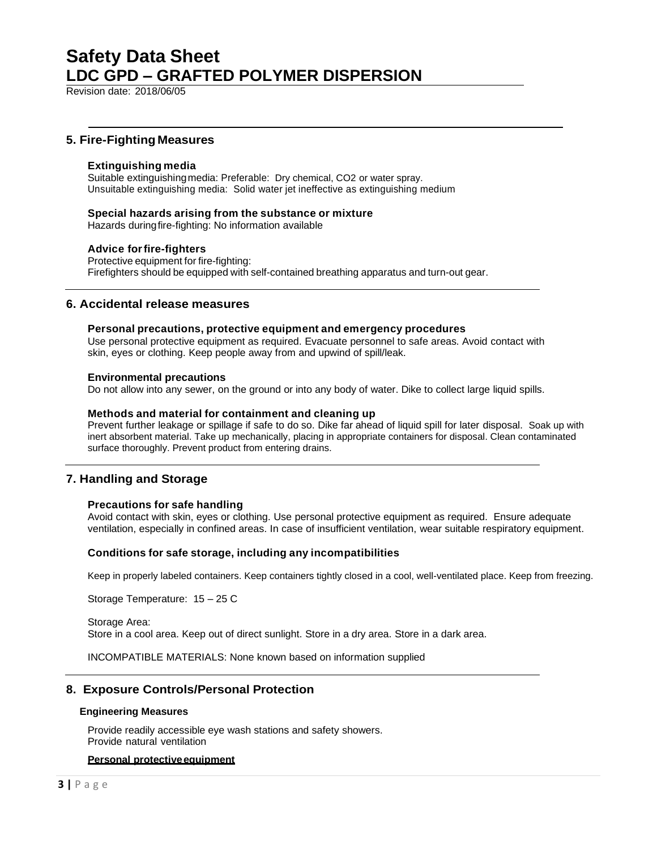Revision date: 2018/06/05

### **5. Fire-Fighting Measures**

#### **Extinguishing media**

Suitable extinguishingmedia: Preferable: Dry chemical, CO2 or water spray. Unsuitable extinguishing media: Solid water jet ineffective as extinguishing medium

#### **Special hazards arising from the substance or mixture**

Hazards duringfire-fighting: No information available

#### **Advice forfire-fighters**

Protective equipment for fire-fighting: Firefighters should be equipped with self-contained breathing apparatus and turn-out gear.

#### **6. Accidental release measures**

#### **Personal precautions, protective equipment and emergency procedures**

Use personal protective equipment as required. Evacuate personnel to safe areas. Avoid contact with skin, eyes or clothing. Keep people away from and upwind of spill/leak.

#### **Environmental precautions**

Do not allow into any sewer, on the ground or into any body of water. Dike to collect large liquid spills.

#### **Methods and material for containment and cleaning up**

Prevent further leakage or spillage if safe to do so. Dike far ahead of liquid spill for later disposal. Soak up with inert absorbent material. Take up mechanically, placing in appropriate containers for disposal. Clean contaminated surface thoroughly. Prevent product from entering drains.

### **7. Handling and Storage**

#### **Precautions for safe handling**

Avoid contact with skin, eyes or clothing. Use personal protective equipment as required. Ensure adequate ventilation, especially in confined areas. In case of insufficient ventilation, wear suitable respiratory equipment.

#### **Conditions for safe storage, including any incompatibilities**

Keep in properly labeled containers. Keep containers tightly closed in a cool, well-ventilated place. Keep from freezing.

Storage Temperature: 15 – 25 C

Storage Area: Store in a cool area. Keep out of direct sunlight. Store in a dry area. Store in a dark area.

INCOMPATIBLE MATERIALS: None known based on information supplied

#### **8. Exposure Controls/Personal Protection**

#### **Engineering Measures**

Provide readily accessible eye wash stations and safety showers. Provide natural ventilation

#### **Personal protectiveequipment**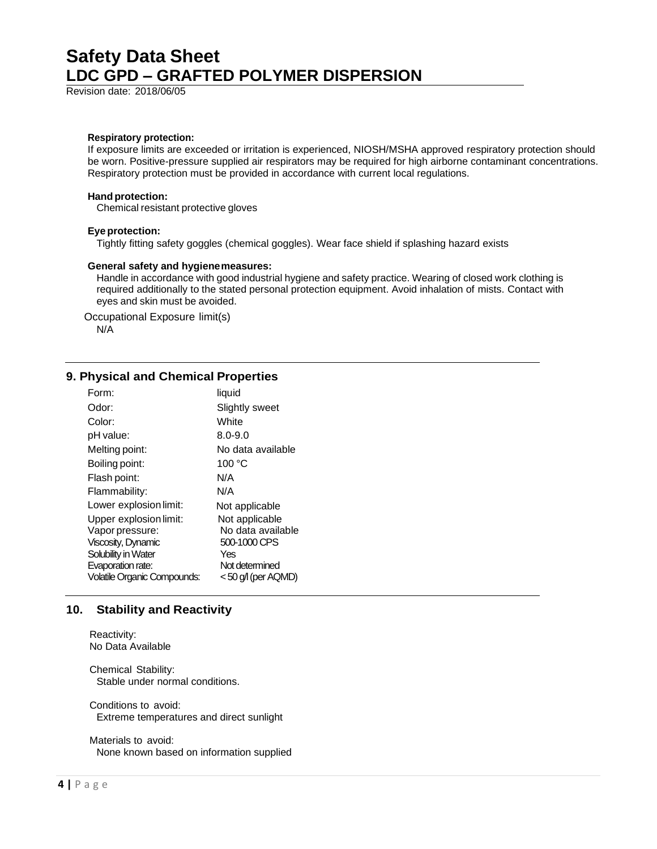Revision date: 2018/06/05

#### **Respiratory protection:**

If exposure limits are exceeded or irritation is experienced, NIOSH/MSHA approved respiratory protection should be worn. Positive-pressure supplied air respirators may be required for high airborne contaminant concentrations. Respiratory protection must be provided in accordance with current local regulations.

#### **Hand protection:**

Chemical resistant protective gloves

#### **Eye protection:**

Tightly fitting safety goggles (chemical goggles). Wear face shield if splashing hazard exists

#### **General safety and hygienemeasures:**

Handle in accordance with good industrial hygiene and safety practice. Wearing of closed work clothing is required additionally to the stated personal protection equipment. Avoid inhalation of mists. Contact with eyes and skin must be avoided.

Occupational Exposure limit(s) N/A

#### **9. Physical and Chemical Properties**

| Form:                       | liquid                |
|-----------------------------|-----------------------|
| Odor:                       | <b>Slightly sweet</b> |
| Color:                      | White                 |
| pH value:                   | $8.0 - 9.0$           |
| Melting point:              | No data available     |
| Boiling point:              | 100 °C                |
| Flash point:                | N/A                   |
| Flammability:               | N/A                   |
| Lower explosion limit:      | Not applicable        |
| Upper explosion limit:      | Not applicable        |
| Vapor pressure:             | No data available     |
| Viscosity, Dynamic          | 500-1000 CPS          |
| Solubility in Water         | Yes                   |
| Evaporation rate:           | Not determined        |
| Volatile Organic Compounds: | <50 g/l (per AQMD)    |

### **10. Stability and Reactivity**

Reactivity: No Data Available

Chemical Stability: Stable under normal conditions.

Conditions to avoid: Extreme temperatures and direct sunlight

Materials to avoid: None known based on information supplied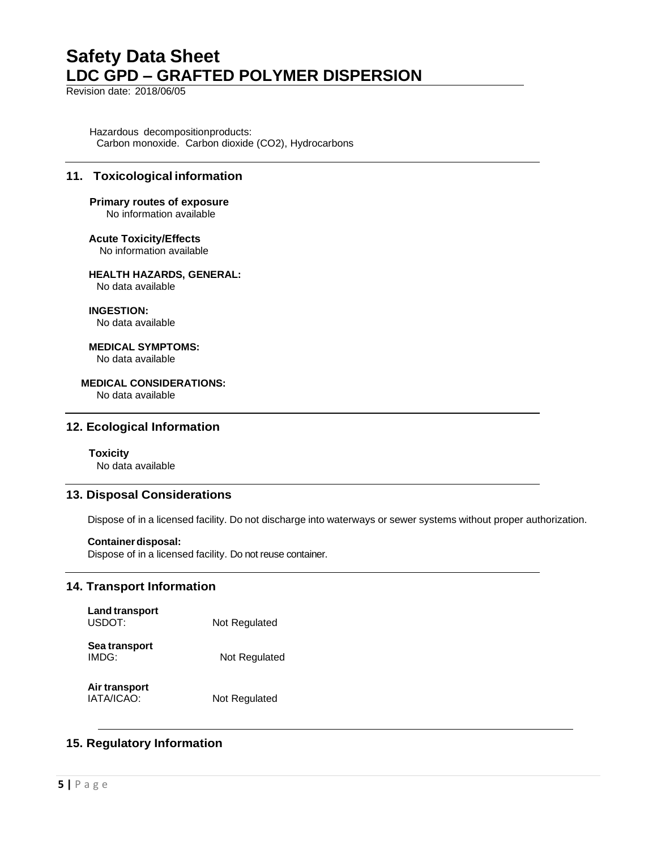Revision date: 2018/06/05

Hazardous decompositionproducts: Carbon monoxide. Carbon dioxide (CO2), Hydrocarbons

# **11. Toxicological information**

# **Primary routes of exposure**

No information available

**Acute Toxicity/Effects**

No information available

# **HEALTH HAZARDS, GENERAL:**

No data available

**INGESTION:**

No data available

**MEDICAL SYMPTOMS:** No data available

#### **MEDICAL CONSIDERATIONS:**

No data available

### **12. Ecological Information**

#### **Toxicity**

No data available

### **13. Disposal Considerations**

Dispose of in a licensed facility. Do not discharge into waterways or sewer systems without proper authorization.

#### **Container disposal:**

Dispose of in a licensed facility. Do not reuse container.

# **14. Transport Information**

| <b>Land transport</b><br>USDOT: | Not Regulated |
|---------------------------------|---------------|
| Sea transport<br>IMDG:          | Not Regulated |

**Air transport** IATA/ICAO: Not Regulated

# **15. Regulatory Information**